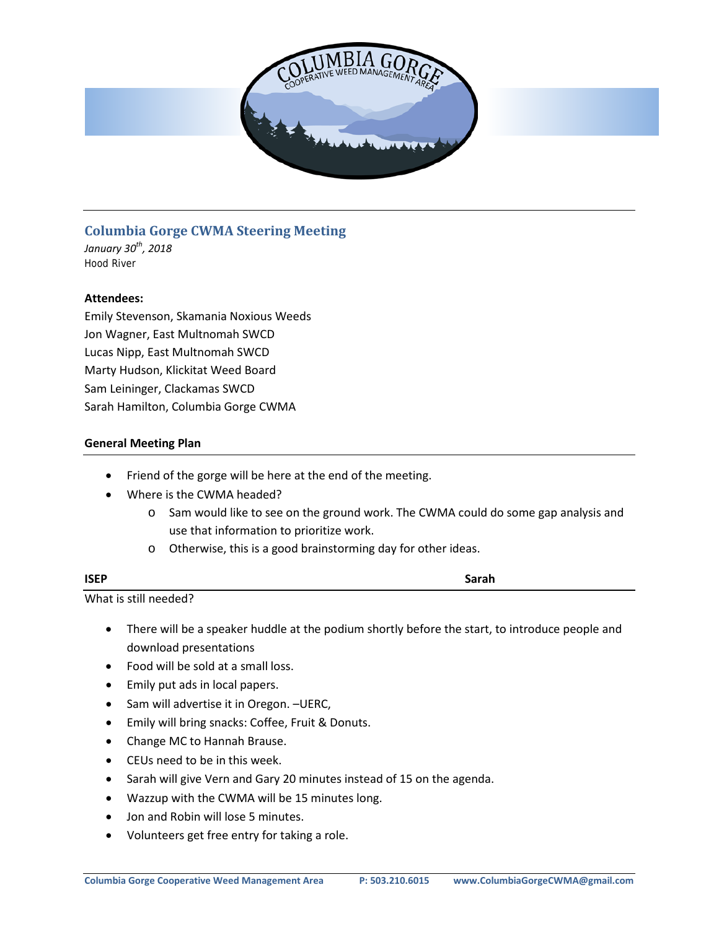

# **Columbia Gorge CWMA Steering Meeting**

*January 30th, 2018* Hood River

## **Attendees:**

Emily Stevenson, Skamania Noxious Weeds Jon Wagner, East Multnomah SWCD Lucas Nipp, East Multnomah SWCD Marty Hudson, Klickitat Weed Board Sam Leininger, Clackamas SWCD Sarah Hamilton, Columbia Gorge CWMA

## **General Meeting Plan**

- Friend of the gorge will be here at the end of the meeting.
- Where is the CWMA headed?
	- o Sam would like to see on the ground work. The CWMA could do some gap analysis and use that information to prioritize work.
	- o Otherwise, this is a good brainstorming day for other ideas.

| <b>ISEP</b>           | Sarah |
|-----------------------|-------|
| What is still needed? |       |

- There will be a speaker huddle at the podium shortly before the start, to introduce people and download presentations
- Food will be sold at a small loss.
- Emily put ads in local papers.
- Sam will advertise it in Oregon. –UERC,
- Emily will bring snacks: Coffee, Fruit & Donuts.
- Change MC to Hannah Brause.
- CEUs need to be in this week.
- Sarah will give Vern and Gary 20 minutes instead of 15 on the agenda.
- Wazzup with the CWMA will be 15 minutes long.
- Jon and Robin will lose 5 minutes.
- Volunteers get free entry for taking a role.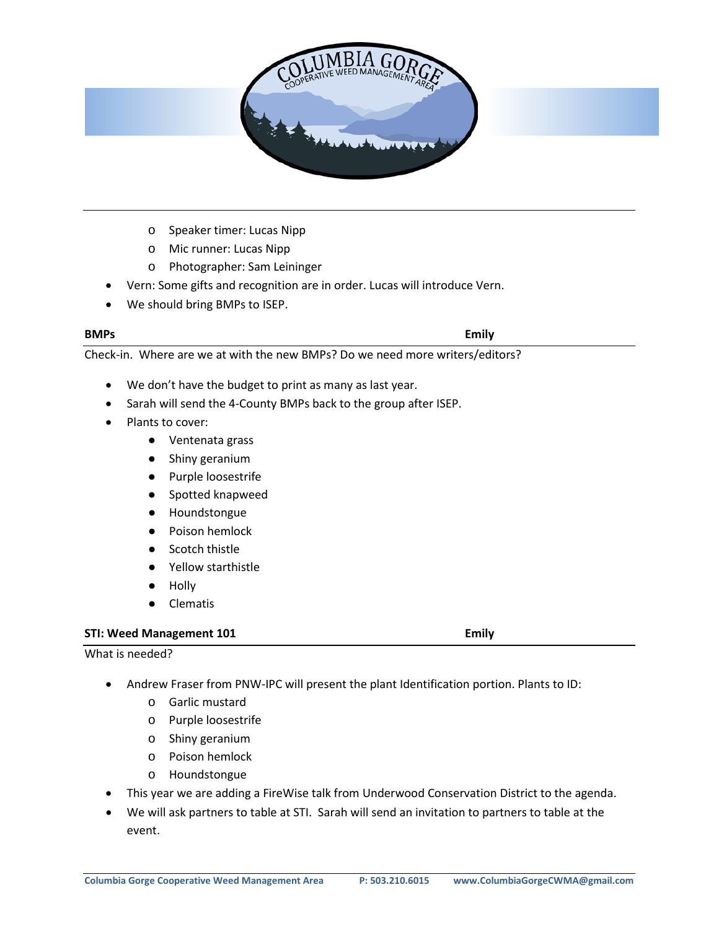

- o Speaker timer: Lucas Nipp
- o Mic runner: Lucas Nipp
- o Photographer: Sam Leininger
- Vern: Some gifts and recognition are in order. Lucas will introduce Vern.
- We should bring BMPs to ISEP.

#### **BMPs Emily**

Check-in. Where are we at with the new BMPs? Do we need more writers/editors?

- We don't have the budget to print as many as last year.
- Sarah will send the 4-County BMPs back to the group after ISEP.
- Plants to cover:
	- Ventenata grass
	- Shiny geranium
	- Purple loosestrife
	- Spotted knapweed
	- Houndstongue
	- Poison hemlock
	- Scotch thistle
	- Yellow starthistle
	- Holly
	- Clematis

#### **STI: Weed Management 101 Emily**

What is needed?

- Andrew Fraser from PNW-IPC will present the plant Identification portion. Plants to ID:
	- o Garlic mustard
	- o Purple loosestrife
	- o Shiny geranium
	- o Poison hemlock
	- o Houndstongue
- This year we are adding a FireWise talk from Underwood Conservation District to the agenda.
- We will ask partners to table at STI. Sarah will send an invitation to partners to table at the event.